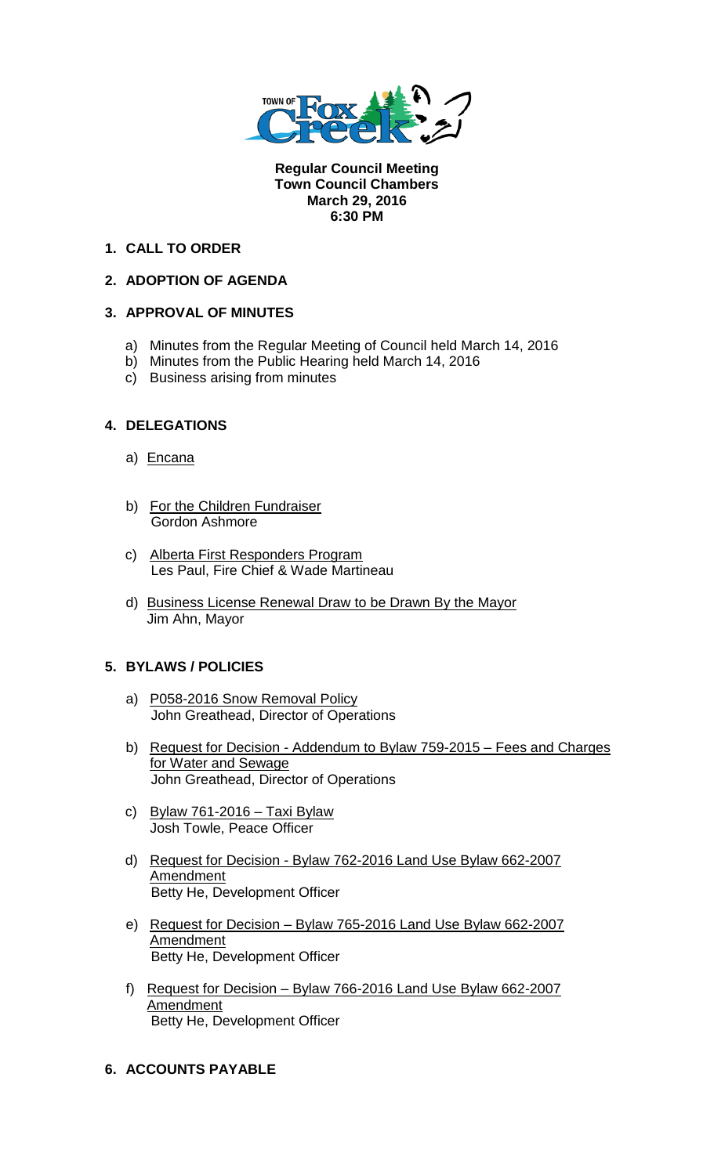

**Regular Council Meeting Town Council Chambers March 29, 2016 6:30 PM** 

## **1. CALL TO ORDER**

## **2. ADOPTION OF AGENDA**

## **3. APPROVAL OF MINUTES**

- a) Minutes from the Regular Meeting of Council held March 14, 2016
- b) Minutes from the Public Hearing held March 14, 2016
- c) Business arising from minutes

## **4. DELEGATIONS**

- a) Encana
- b) For the Children Fundraiser Gordon Ashmore
- c) Alberta First Responders Program Les Paul, Fire Chief & Wade Martineau
- d) Business License Renewal Draw to be Drawn By the Mayor Jim Ahn, Mayor

#### **5. BYLAWS / POLICIES**

- a) P058-2016 Snow Removal Policy John Greathead, Director of Operations
- b) Request for Decision Addendum to Bylaw 759-2015 Fees and Charges for Water and Sewage John Greathead, Director of Operations
- c) Bylaw 761-2016 Taxi Bylaw Josh Towle, Peace Officer
- d) Request for Decision Bylaw 762-2016 Land Use Bylaw 662-2007 **Amendment** Betty He, Development Officer
- e) Request for Decision Bylaw 765-2016 Land Use Bylaw 662-2007 **Amendment** Betty He, Development Officer
- f) Request for Decision Bylaw 766-2016 Land Use Bylaw 662-2007 **Amendment** Betty He, Development Officer

# **6. ACCOUNTS PAYABLE**